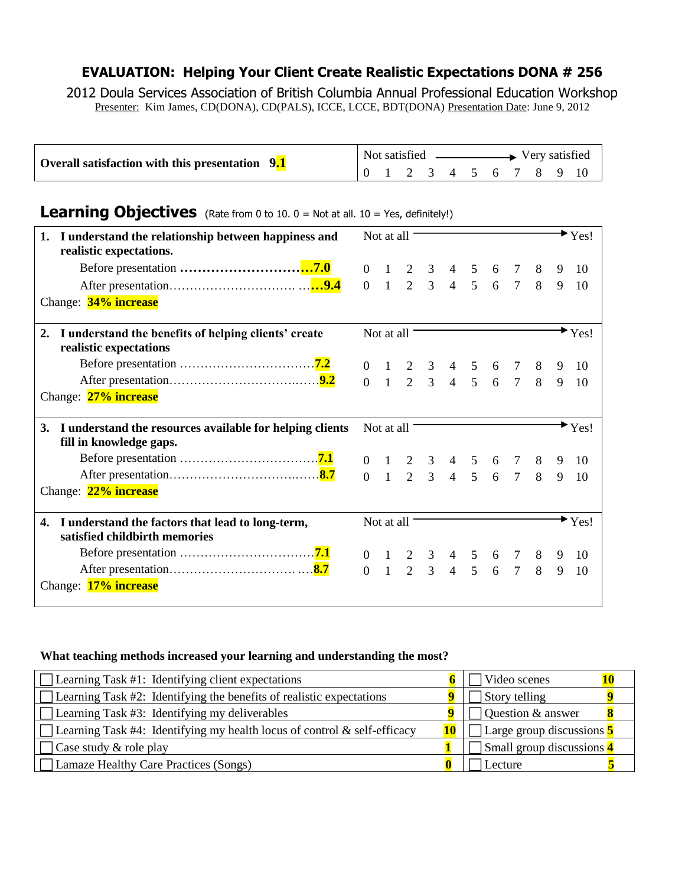# **EVALUATION: Helping Your Client Create Realistic Expectations DONA # 256**

2012 Doula Services Association of British Columbia Annual Professional Education Workshop Presenter: Kim James, CD(DONA), CD(PALS), ICCE, LCCE, BDT(DONA) Presentation Date: June 9, 2012

| Overall satisfaction with this presentation 9.1 | Not satisfied |  |  |  |  |  |  | Very satisfied |  |  |  |
|-------------------------------------------------|---------------|--|--|--|--|--|--|----------------|--|--|--|
|                                                 |               |  |  |  |  |  |  |                |  |  |  |

# **Learning Objectives** (Rate from 0 to 10. 0 = Not at all. 10 = Yes, definitely!)

| I understand the relationship between happiness and<br>1.<br>realistic expectations.      | Not at all |                                                                                                              |  |  |  |   | Yes!             |
|-------------------------------------------------------------------------------------------|------------|--------------------------------------------------------------------------------------------------------------|--|--|--|---|------------------|
|                                                                                           |            |                                                                                                              |  |  |  | 9 | 10               |
|                                                                                           |            | $\begin{array}{cccccccc} 0 & 1 & 2 & 3 & 4 & 5 & 6 & 7 & 8 \\ 0 & 1 & 2 & 3 & 4 & 5 & 6 & 7 & 8 \end{array}$ |  |  |  | 9 | 10               |
| Change: 34% increase                                                                      |            |                                                                                                              |  |  |  |   |                  |
| 2.<br>I understand the benefits of helping clients' create<br>realistic expectations      | Not at all |                                                                                                              |  |  |  |   | Yes!             |
|                                                                                           |            |                                                                                                              |  |  |  | 9 | 10               |
|                                                                                           |            | $\begin{array}{cccccccc} 0 & 1 & 2 & 3 & 4 & 5 & 6 & 7 & 8 \\ 0 & 1 & 2 & 3 & 4 & 5 & 6 & 7 & 8 \end{array}$ |  |  |  | 9 | 10               |
| Change: 27% increase                                                                      |            |                                                                                                              |  |  |  |   |                  |
|                                                                                           |            | Not at all                                                                                                   |  |  |  |   | $\mathbf{Y}$ es! |
| 3.<br>I understand the resources available for helping clients<br>fill in knowledge gaps. |            |                                                                                                              |  |  |  |   |                  |
|                                                                                           |            |                                                                                                              |  |  |  | 9 | 10               |
|                                                                                           |            | $\begin{array}{cccccccc} 0 & 1 & 2 & 3 & 4 & 5 & 6 & 7 & 8 \\ 0 & 1 & 2 & 3 & 4 & 5 & 6 & 7 & 8 \end{array}$ |  |  |  | 9 | 10               |
| Change: 22% increase                                                                      |            |                                                                                                              |  |  |  |   |                  |
| I understand the factors that lead to long-term,<br>4.<br>satisfied childbirth memories   | Not at all |                                                                                                              |  |  |  |   | Yes!             |
|                                                                                           |            |                                                                                                              |  |  |  | 9 | 10               |
|                                                                                           |            | $\begin{array}{cccccccc} 0 & 1 & 2 & 3 & 4 & 5 & 6 & 7 & 8 \\ 0 & 1 & 2 & 3 & 4 & 5 & 6 & 7 & 8 \end{array}$ |  |  |  | 9 | 10               |

## **What teaching methods increased your learning and understanding the most?**

| $\Box$ Learning Task #1: Identifying client expectations                        |    | Video scenes              |
|---------------------------------------------------------------------------------|----|---------------------------|
| $\Box$ Learning Task #2: Identifying the benefits of realistic expectations     |    | Story telling             |
| $\Box$ Learning Task #3: Identifying my deliverables                            |    | Question & answer         |
| $\Box$ Learning Task #4: Identifying my health locus of control & self-efficacy | 10 | Large group discussions 5 |
| Case study & role play                                                          |    | Small group discussions 4 |
| Lamaze Healthy Care Practices (Songs)                                           |    | Lecture                   |